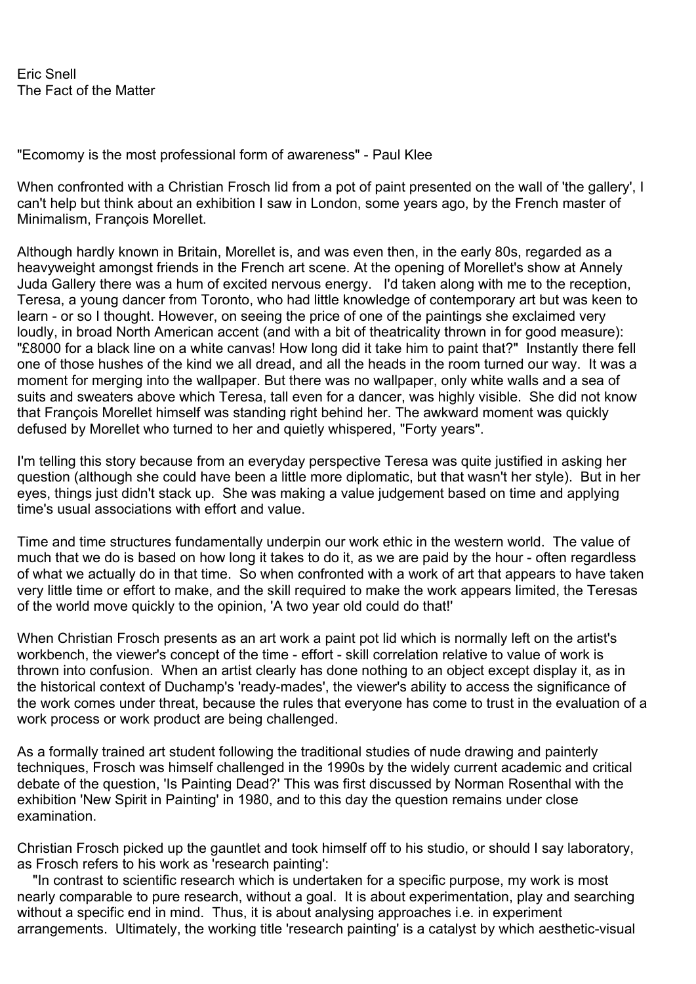Eric Snell The Fact of the Matter

"Ecomomy is the most professional form of awareness" - Paul Klee

When confronted with a Christian Frosch lid from a pot of paint presented on the wall of 'the gallery', I can't help but think about an exhibition I saw in London, some years ago, by the French master of Minimalism, François Morellet.

Although hardly known in Britain, Morellet is, and was even then, in the early 80s, regarded as a heavyweight amongst friends in the French art scene. At the opening of Morellet's show at Annely Juda Gallery there was a hum of excited nervous energy. I'd taken along with me to the reception, Teresa, a young dancer from Toronto, who had little knowledge of contemporary art but was keen to learn - or so I thought. However, on seeing the price of one of the paintings she exclaimed very loudly, in broad North American accent (and with a bit of theatricality thrown in for good measure): "£8000 for a black line on a white canvas! How long did it take him to paint that?" Instantly there fell one of those hushes of the kind we all dread, and all the heads in the room turned our way. It was a moment for merging into the wallpaper. But there was no wallpaper, only white walls and a sea of suits and sweaters above which Teresa, tall even for a dancer, was highly visible. She did not know that François Morellet himself was standing right behind her. The awkward moment was quickly defused by Morellet who turned to her and quietly whispered, "Forty years".

I'm telling this story because from an everyday perspective Teresa was quite justified in asking her question (although she could have been a little more diplomatic, but that wasn't her style). But in her eyes, things just didn't stack up. She was making a value judgement based on time and applying time's usual associations with effort and value.

Time and time structures fundamentally underpin our work ethic in the western world. The value of much that we do is based on how long it takes to do it, as we are paid by the hour - often regardless of what we actually do in that time. So when confronted with a work of art that appears to have taken very little time or effort to make, and the skill required to make the work appears limited, the Teresas of the world move quickly to the opinion, 'A two year old could do that!'

When Christian Frosch presents as an art work a paint pot lid which is normally left on the artist's workbench, the viewer's concept of the time - effort - skill correlation relative to value of work is thrown into confusion. When an artist clearly has done nothing to an object except display it, as in the historical context of Duchamp's 'ready-mades', the viewer's ability to access the significance of the work comes under threat, because the rules that everyone has come to trust in the evaluation of a work process or work product are being challenged.

As a formally trained art student following the traditional studies of nude drawing and painterly techniques, Frosch was himself challenged in the 1990s by the widely current academic and critical debate of the question, 'Is Painting Dead?' This was first discussed by Norman Rosenthal with the exhibition 'New Spirit in Painting' in 1980, and to this day the question remains under close examination.

Christian Frosch picked up the gauntlet and took himself off to his studio, or should I say laboratory, as Frosch refers to his work as 'research painting':

"In contrast to scientific research which is undertaken for a specific purpose, my work is most nearly comparable to pure research, without a goal. It is about experimentation, play and searching without a specific end in mind. Thus, it is about analysing approaches i.e. in experiment arrangements. Ultimately, the working title 'research painting' is a catalyst by which aesthetic-visual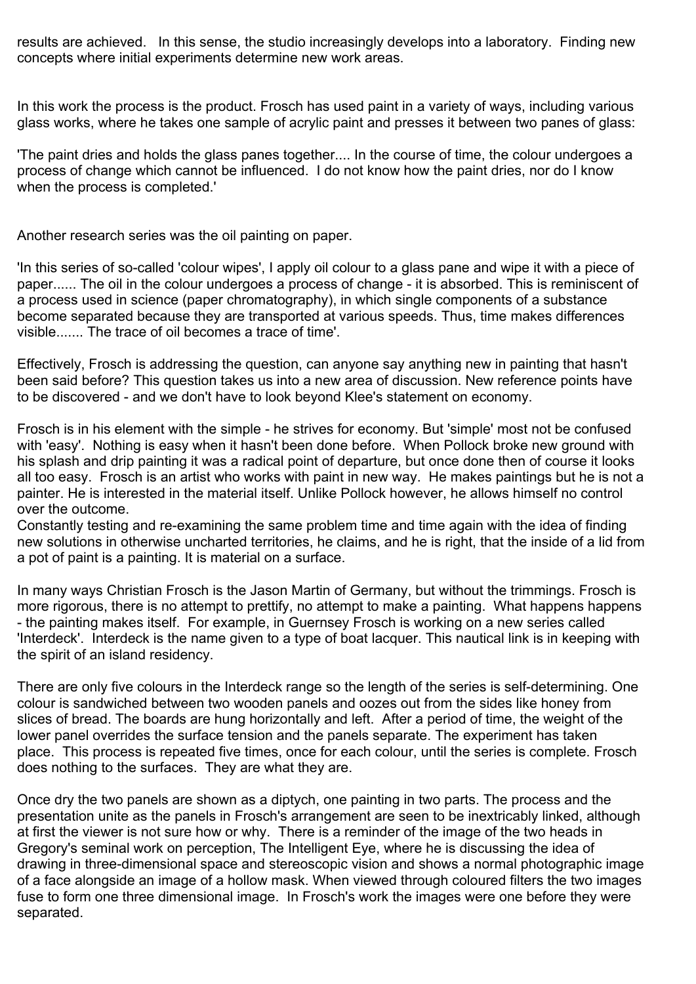results are achieved. In this sense, the studio increasingly develops into a laboratory. Finding new concepts where initial experiments determine new work areas.

In this work the process is the product. Frosch has used paint in a variety of ways, including various glass works, where he takes one sample of acrylic paint and presses it between two panes of glass:

'The paint dries and holds the glass panes together.... In the course of time, the colour undergoes a process of change which cannot be influenced. I do not know how the paint dries, nor do I know when the process is completed.'

Another research series was the oil painting on paper.

'In this series of so-called 'colour wipes', I apply oil colour to a glass pane and wipe it with a piece of paper...... The oil in the colour undergoes a process of change - it is absorbed. This is reminiscent of a process used in science (paper chromatography), in which single components of a substance become separated because they are transported at various speeds. Thus, time makes differences visible....... The trace of oil becomes a trace of time'.

Effectively, Frosch is addressing the question, can anyone say anything new in painting that hasn't been said before? This question takes us into a new area of discussion. New reference points have to be discovered - and we don't have to look beyond Klee's statement on economy.

Frosch is in his element with the simple - he strives for economy. But 'simple' most not be confused with 'easy'. Nothing is easy when it hasn't been done before. When Pollock broke new ground with his splash and drip painting it was a radical point of departure, but once done then of course it looks all too easy. Frosch is an artist who works with paint in new way. He makes paintings but he is not a painter. He is interested in the material itself. Unlike Pollock however, he allows himself no control over the outcome.

Constantly testing and re-examining the same problem time and time again with the idea of finding new solutions in otherwise uncharted territories, he claims, and he is right, that the inside of a lid from a pot of paint is a painting. It is material on a surface.

In many ways Christian Frosch is the Jason Martin of Germany, but without the trimmings. Frosch is more rigorous, there is no attempt to prettify, no attempt to make a painting. What happens happens - the painting makes itself. For example, in Guernsey Frosch is working on a new series called 'Interdeck'. Interdeck is the name given to a type of boat lacquer. This nautical link is in keeping with the spirit of an island residency.

There are only five colours in the Interdeck range so the length of the series is self-determining. One colour is sandwiched between two wooden panels and oozes out from the sides like honey from slices of bread. The boards are hung horizontally and left. After a period of time, the weight of the lower panel overrides the surface tension and the panels separate. The experiment has taken place. This process is repeated five times, once for each colour, until the series is complete. Frosch does nothing to the surfaces. They are what they are.

Once dry the two panels are shown as a diptych, one painting in two parts. The process and the presentation unite as the panels in Frosch's arrangement are seen to be inextricably linked, although at first the viewer is not sure how or why. There is a reminder of the image of the two heads in Gregory's seminal work on perception, The Intelligent Eye, where he is discussing the idea of drawing in three-dimensional space and stereoscopic vision and shows a normal photographic image of a face alongside an image of a hollow mask. When viewed through coloured filters the two images fuse to form one three dimensional image. In Frosch's work the images were one before they were separated.